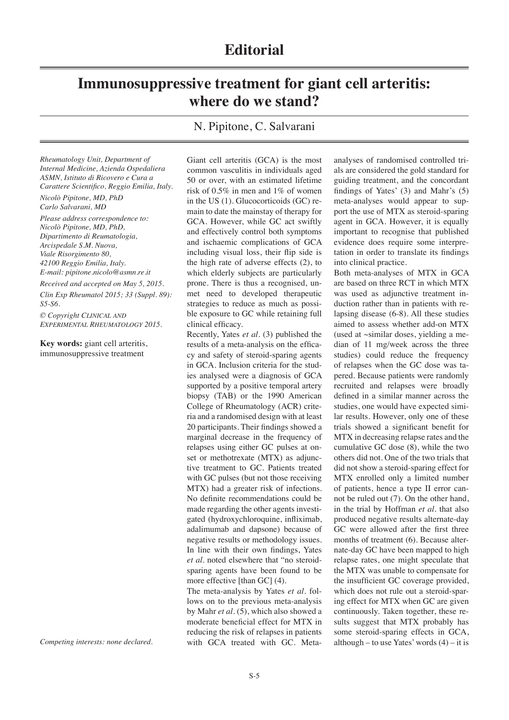## **Immunosuppressive treatment for giant cell arteritis: where do we stand?**

N. Pipitone, C. Salvarani

*Rheumatology Unit, Department of Internal Medicine, Azienda Ospedaliera ASMN, Istituto di Ricovero e Cura a Carattere Scientifico, Reggio Emilia, Italy.*

*Nicolò Pipitone, MD, PhD Carlo Salvarani, MD*

*Please address correspondence to: Nicolò Pipitone, MD, PhD, Dipartimento di Reumatologia, Arcispedale S.M. Nuova, Viale Risorgimento 80, 42100 Reggio Emilia, Italy. E-mail: pipitone.nicolo@asmn.re.it Received and accepted on May 5, 2015. Clin Exp Rheumatol 2015; 33 (Suppl. 89):* 

*S5-S6.*

*© Copyright Clinical and Experimental Rheumatology 2015.*

**Key words:** giant cell arteritis, immunosuppressive treatment

*Competing interests: none declared.* 

Giant cell arteritis (GCA) is the most common vasculitis in individuals aged 50 or over, with an estimated lifetime risk of 0.5% in men and 1% of women in the US (1). Glucocorticoids (GC) remain to date the mainstay of therapy for GCA. However, while GC act swiftly and effectively control both symptoms and ischaemic complications of GCA including visual loss, their flip side is the high rate of adverse effects (2), to which elderly subjects are particularly prone. There is thus a recognised, unmet need to developed therapeutic strategies to reduce as much as possible exposure to GC while retaining full clinical efficacy.

Recently, Yates *et al.* (3) published the results of a meta-analysis on the efficacy and safety of steroid-sparing agents in GCA. Inclusion criteria for the studies analysed were a diagnosis of GCA supported by a positive temporal artery biopsy (TAB) or the 1990 American College of Rheumatology (ACR) criteria and a randomised design with at least 20 participants. Their findings showed a marginal decrease in the frequency of relapses using either GC pulses at onset or methotrexate (MTX) as adjunctive treatment to GC. Patients treated with GC pulses (but not those receiving MTX) had a greater risk of infections. No definite recommendations could be made regarding the other agents investigated (hydroxychloroquine, infliximab, adalimumab and dapsone) because of negative results or methodology issues. In line with their own findings, Yates *et al.* noted elsewhere that "no steroidsparing agents have been found to be more effective [than GC] (4).

The meta-analysis by Yates *et al.* follows on to the previous meta-analysis by Mahr *et al.* (5), which also showed a moderate beneficial effect for MTX in reducing the risk of relapses in patients with GCA treated with GC. Meta-

analyses of randomised controlled trials are considered the gold standard for guiding treatment, and the concordant findings of Yates' (3) and Mahr's (5) meta-analyses would appear to support the use of MTX as steroid-sparing agent in GCA. However, it is equally important to recognise that published evidence does require some interpretation in order to translate its findings into clinical practice.

Both meta-analyses of MTX in GCA are based on three RCT in which MTX was used as adjunctive treatment induction rather than in patients with relapsing disease (6-8). All these studies aimed to assess whether add-on MTX (used at ~similar doses, yielding a median of 11 mg/week across the three studies) could reduce the frequency of relapses when the GC dose was tapered. Because patients were randomly recruited and relapses were broadly defined in a similar manner across the studies, one would have expected similar results. However, only one of these trials showed a significant benefit for MTX in decreasing relapse rates and the cumulative GC dose (8), while the two others did not. One of the two trials that did not show a steroid-sparing effect for MTX enrolled only a limited number of patients, hence a type II error cannot be ruled out (7). On the other hand, in the trial by Hoffman *et al.* that also produced negative results alternate-day GC were allowed after the first three months of treatment (6). Because alternate-day GC have been mapped to high relapse rates, one might speculate that the MTX was unable to compensate for the insufficient GC coverage provided, which does not rule out a steroid-sparing effect for MTX when GC are given continuously. Taken together, these results suggest that MTX probably has some steroid-sparing effects in GCA, although – to use Yates' words  $(4)$  – it is